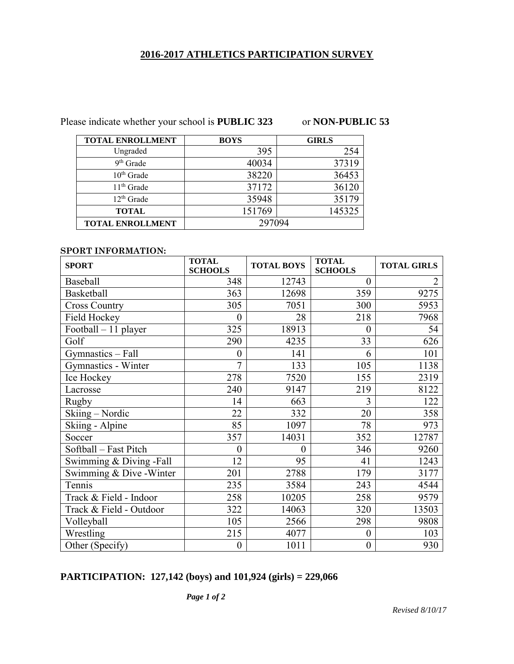# **2016-2017 ATHLETICS PARTICIPATION SURVEY**

Please indicate whether your school is **PUBLIC 323** or **NON-PUBLIC 53** 

| <b>TOTAL ENROLLMENT</b> | <b>BOYS</b> | <b>GIRLS</b> |
|-------------------------|-------------|--------------|
| Ungraded                | 395         | 254          |
| $9th$ Grade             | 40034       | 37319        |
| 10 <sup>th</sup> Grade  | 38220       | 36453        |
| $11th$ Grade            | 37172       | 36120        |
| $12th$ Grade            | 35948       | 35179        |
| <b>TOTAL</b>            | 151769      | 145325       |
| <b>TOTAL ENROLLMENT</b> | 297094      |              |

## **SPORT INFORMATION:**

| <b>SPORT</b>             | <b>TOTAL</b><br><b>SCHOOLS</b> | <b>TOTAL BOYS</b> | <b>TOTAL</b><br><b>SCHOOLS</b> | <b>TOTAL GIRLS</b> |
|--------------------------|--------------------------------|-------------------|--------------------------------|--------------------|
| Baseball                 | 348                            | 12743             | $\overline{0}$                 |                    |
| <b>Basketball</b>        | 363                            | 12698             | 359                            | 9275               |
| <b>Cross Country</b>     | 305                            | 7051              | 300                            | 5953               |
| <b>Field Hockey</b>      | $\Omega$                       | 28                | 218                            | 7968               |
| Football - 11 player     | 325                            | 18913             | $\theta$                       | 54                 |
| Golf                     | 290                            | 4235              | 33                             | 626                |
| Gymnastics - Fall        | $\theta$                       | 141               | 6                              | 101                |
| Gymnastics - Winter      | 7                              | 133               | 105                            | 1138               |
| Ice Hockey               | 278                            | 7520              | 155                            | 2319               |
| Lacrosse                 | 240                            | 9147              | 219                            | 8122               |
| <b>Rugby</b>             | 14                             | 663               | 3                              | 122                |
| Skiing - Nordic          | 22                             | 332               | 20                             | 358                |
| Skiing - Alpine          | 85                             | 1097              | 78                             | 973                |
| Soccer                   | 357                            | 14031             | 352                            | 12787              |
| Softball - Fast Pitch    | $\overline{0}$                 | $\theta$          | 346                            | 9260               |
| Swimming & Diving -Fall  | 12                             | 95                | 41                             | 1243               |
| Swimming & Dive - Winter | 201                            | 2788              | 179                            | 3177               |
| Tennis                   | 235                            | 3584              | 243                            | 4544               |
| Track & Field - Indoor   | 258                            | 10205             | 258                            | 9579               |
| Track & Field - Outdoor  | 322                            | 14063             | 320                            | 13503              |
| Volleyball               | 105                            | 2566              | 298                            | 9808               |
| Wrestling                | 215                            | 4077              | $\boldsymbol{0}$               | 103                |
| Other (Specify)          | $\boldsymbol{0}$               | 1011              | $\boldsymbol{0}$               | 930                |

# **PARTICIPATION: 127,142 (boys) and 101,924 (girls) = 229,066**